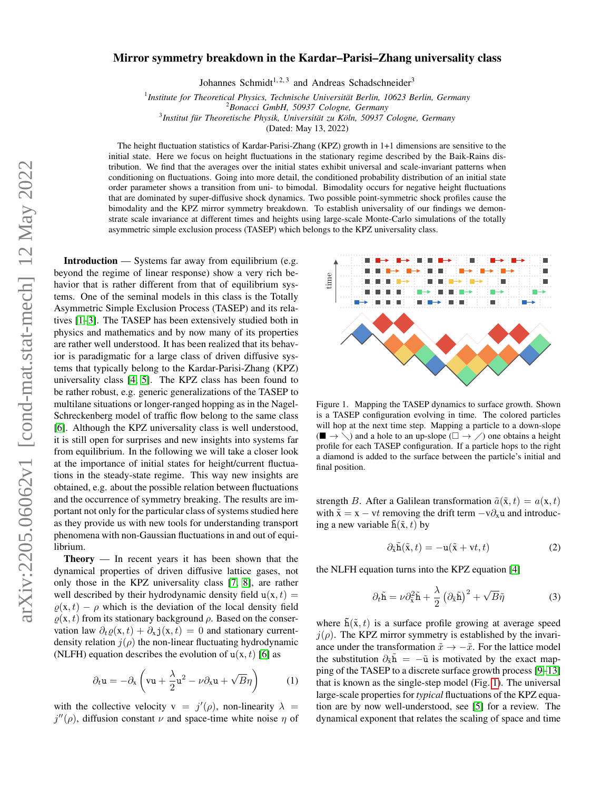## Mirror symmetry breakdown in the Kardar–Parisi–Zhang universality class

Johannes Schmidt<sup>1, 2, 3</sup> and Andreas Schadschneider<sup>3</sup>

<sup>1</sup> Institute for Theoretical Physics, Technische Universität Berlin, 10623 Berlin, Germany

<sup>2</sup>*Bonacci GmbH, 50937 Cologne, Germany*

<sup>3</sup> Institut für Theoretische Physik, Universität zu Köln, 50937 Cologne, Germany

(Dated: May 13, 2022)

The height fluctuation statistics of Kardar-Parisi-Zhang (KPZ) growth in 1+1 dimensions are sensitive to the initial state. Here we focus on height fluctuations in the stationary regime described by the Baik-Rains distribution. We find that the averages over the initial states exhibit universal and scale-invariant patterns when conditioning on fluctuations. Going into more detail, the conditioned probability distribution of an initial state order parameter shows a transition from uni- to bimodal. Bimodality occurs for negative height fluctuations that are dominated by super-diffusive shock dynamics. Two possible point-symmetric shock profiles cause the bimodality and the KPZ mirror symmetry breakdown. To establish universality of our findings we demonstrate scale invariance at different times and heights using large-scale Monte-Carlo simulations of the totally asymmetric simple exclusion process (TASEP) which belongs to the KPZ universality class.

Introduction — Systems far away from equilibrium (e.g. beyond the regime of linear response) show a very rich behavior that is rather different from that of equilibrium systems. One of the seminal models in this class is the Totally Asymmetric Simple Exclusion Process (TASEP) and its relatives [\[1–](#page-3-0)[3\]](#page-3-1). The TASEP has been extensively studied both in physics and mathematics and by now many of its properties are rather well understood. It has been realized that its behavior is paradigmatic for a large class of driven diffusive systems that typically belong to the Kardar-Parisi-Zhang (KPZ) universality class [\[4,](#page-3-2) [5\]](#page-3-3). The KPZ class has been found to be rather robust, e.g. generic generalizations of the TASEP to multilane situations or longer-ranged hopping as in the Nagel-Schreckenberg model of traffic flow belong to the same class [\[6\]](#page-3-4). Although the KPZ universality class is well understood, it is still open for surprises and new insights into systems far from equilibrium. In the following we will take a closer look at the importance of initial states for height/current fluctuations in the steady-state regime. This way new insights are obtained, e.g. about the possible relation between fluctuations and the occurrence of symmetry breaking. The results are important not only for the particular class of systems studied here as they provide us with new tools for understanding transport phenomena with non-Gaussian fluctuations in and out of equilibrium.

Theory — In recent years it has been shown that the dynamical properties of driven diffusive lattice gases, not only those in the KPZ universality class [\[7,](#page-3-5) [8\]](#page-3-6), are rather well described by their hydrodynamic density field  $u(x, t) =$  $\rho(x, t) - \rho$  which is the deviation of the local density field  $\rho(x, t)$  from its stationary background  $\rho$ . Based on the conservation law  $\partial_t \varrho(x, t) + \partial_x \mathbf{j}(x, t) = 0$  and stationary currentdensity relation  $j(\rho)$  the non-linear fluctuating hydrodynamic (NLFH) equation describes the evolution of  $u(x, t)$  [\[6\]](#page-3-4) as

$$
\partial_t \mathbf{u} = -\partial_x \left( \mathbf{v} \mathbf{u} + \frac{\lambda}{2} \mathbf{u}^2 - \nu \partial_x \mathbf{u} + \sqrt{B} \eta \right) \tag{1}
$$

with the collective velocity  $v = j'(\rho)$ , non-linearity  $\lambda =$  $j''(\rho)$ , diffusion constant  $\nu$  and space-time white noise  $\eta$  of



<span id="page-0-0"></span>Figure 1. Mapping the TASEP dynamics to surface growth. Shown is a TASEP configuration evolving in time. The colored particles will hop at the next time step. Mapping a particle to a down-slope  $(\blacksquare \rightarrow \setminus)$  and a hole to an up-slope  $(\square \rightarrow \setminus)$  one obtains a height profile for each TASEP configuration. If a particle hops to the right a diamond is added to the surface between the particle's initial and final position.

strength B. After a Galilean transformation  $\tilde{a}(\tilde{x}, t) = a(x, t)$ with  $\tilde{x} = x - vt$  removing the drift term  $-v\partial_x u$  and introducing a new variable  $\tilde{h}(\tilde{x}, t)$  by

$$
\partial_{\tilde{\mathbf{x}}} \tilde{\mathbf{h}}(\tilde{\mathbf{x}}, t) = -\mathbf{u}(\tilde{\mathbf{x}} + \mathbf{v}t, t) \tag{2}
$$

the NLFH equation turns into the KPZ equation [\[4\]](#page-3-2)

$$
\partial_t \tilde{\mathbf{h}} = \nu \partial_{\tilde{\mathbf{x}}}^2 \tilde{\mathbf{h}} + \frac{\lambda}{2} \left( \partial_{\tilde{\mathbf{x}}} \tilde{\mathbf{h}} \right)^2 + \sqrt{B} \tilde{\eta}
$$
 (3)

where  $\tilde{h}(\tilde{x}, t)$  is a surface profile growing at average speed  $j(\rho)$ . The KPZ mirror symmetry is established by the invariance under the transformation  $\tilde{x} \to -\tilde{x}$ . For the lattice model the substitution  $\partial_{\tilde{x}}\tilde{h} = -\tilde{u}$  is motivated by the exact mapping of the TASEP to a discrete surface growth process [\[9–](#page-3-7)[13\]](#page-3-8) that is known as the single-step model (Fig. [1\)](#page-0-0). The universal large-scale properties for *typical* fluctuations of the KPZ equation are by now well-understood, see [\[5\]](#page-3-3) for a review. The dynamical exponent that relates the scaling of space and time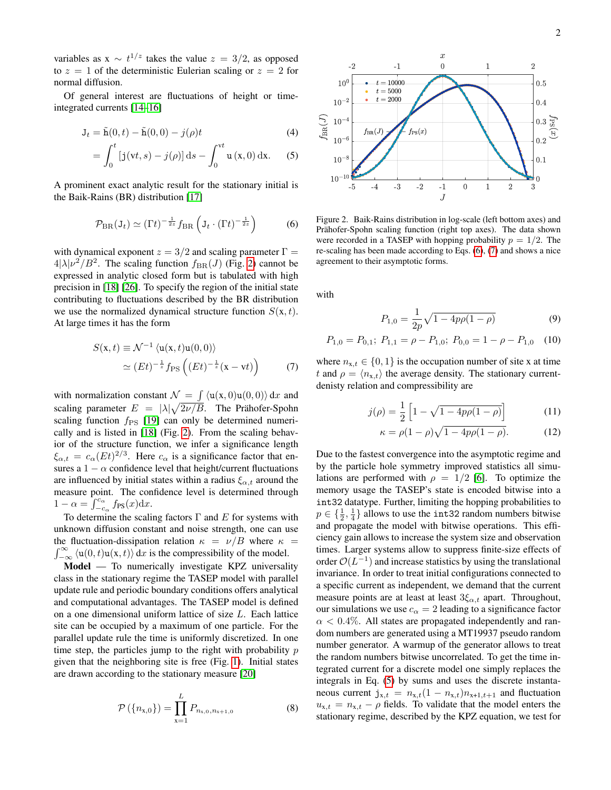variables as  $x \sim t^{1/z}$  takes the value  $z = 3/2$ , as opposed to  $z = 1$  of the deterministic Eulerian scaling or  $z = 2$  for normal diffusion.

Of general interest are fluctuations of height or timeintegrated currents [\[14](#page-3-9)[–16\]](#page-3-10)

$$
\mathbf{J}_t = \tilde{\mathbf{h}}(0, t) - \tilde{\mathbf{h}}(0, 0) - j(\rho)t
$$
\n(4)

$$
= \int_0^t [j(vt, s) - j(\rho)] ds - \int_0^{vt} u(x, 0) dx.
$$
 (5)

A prominent exact analytic result for the stationary initial is the Baik-Rains (BR) distribution [\[17\]](#page-3-11)

<span id="page-1-1"></span>
$$
\mathcal{P}_{\text{BR}}(\mathbf{J}_t) \simeq (\Gamma t)^{-\frac{1}{2z}} f_{\text{BR}} \left( \mathbf{J}_t \cdot (\Gamma t)^{-\frac{1}{2z}} \right) \tag{6}
$$

with dynamical exponent  $z = 3/2$  and scaling parameter  $\Gamma =$  $4|\lambda|\nu^2/B^2$ . The scaling function  $f_{\text{BR}}(J)$  (Fig. [2\)](#page-1-0) cannot be expressed in analytic closed form but is tabulated with high precision in [\[18\]](#page-3-12) [\[26\]](#page-3-13). To specify the region of the initial state contributing to fluctuations described by the BR distribution we use the normalized dynamical structure function  $S(x, t)$ . At large times it has the form

$$
S(\mathbf{x},t) \equiv \mathcal{N}^{-1} \langle \mathbf{u}(\mathbf{x},t) \mathbf{u}(0,0) \rangle
$$
  
\approx 
$$
(Et)^{-\frac{1}{z}} f_{\rm PS} \left( (Et)^{-\frac{1}{z}} (\mathbf{x} - \mathbf{v}t) \right)
$$
 (7)

with normalization constant  $\mathcal{N} = \int \langle u(x, 0)u(0, 0) \rangle dx$  and scaling parameter  $E = |\lambda|\sqrt{2\nu/B}$ . The Prähofer-Spohn scaling function  $f_{PS}$  [\[19\]](#page-3-14) can only be determined numerically and is listed in [\[18\]](#page-3-12) (Fig. [2\)](#page-1-0). From the scaling behavior of the structure function, we infer a significance length  $\xi_{\alpha,t} = c_{\alpha} (Et)^{2/3}$ . Here  $c_{\alpha}$  is a significance factor that ensures a  $1 - \alpha$  confidence level that height/current fluctuations are influenced by initial states within a radius  $\xi_{\alpha,t}$  around the measure point. The confidence level is determined through  $1 - \alpha = \int_{-c_{\alpha}}^{c_{\alpha}} f_{\text{PS}}(x) dx.$ 

To determine the scaling factors  $\Gamma$  and  $E$  for systems with unknown diffusion constant and noise strength, one can use the fluctuation-dissipation relation  $\kappa = \nu/B$  where  $\kappa =$  $\int_{-\infty}^{\infty} \langle u(0, t)u(x, t) \rangle dx$  is the compressibility of the model.

Model — To numerically investigate KPZ universality class in the stationary regime the TASEP model with parallel update rule and periodic boundary conditions offers analytical and computational advantages. The TASEP model is defined on a one dimensional uniform lattice of size L. Each lattice site can be occupied by a maximum of one particle. For the parallel update rule the time is uniformly discretized. In one time step, the particles jump to the right with probability  $p$ given that the neighboring site is free (Fig. [1\)](#page-0-0). Initial states are drawn according to the stationary measure [\[20\]](#page-3-15)

$$
\mathcal{P}\left(\{n_{\mathbf{x},0}\}\right) = \prod_{\mathbf{x}=1}^{L} P_{n_{\mathbf{x},0},n_{\mathbf{x}+1,0}} \tag{8}
$$



<span id="page-1-3"></span><span id="page-1-0"></span>Figure 2. Baik-Rains distribution in log-scale (left bottom axes) and Prähofer-Spohn scaling function (right top axes). The data shown were recorded in a TASEP with hopping probability  $p = 1/2$ . The re-scaling has been made according to Eqs. [\(6\)](#page-1-1), [\(7\)](#page-1-2) and shows a nice agreement to their asymptotic forms.

with

$$
P_{1,0} = \frac{1}{2p}\sqrt{1 - 4p\rho(1 - \rho)}
$$
\n(9)

$$
P_{1,0} = P_{0,1}; \ P_{1,1} = \rho - P_{1,0}; \ P_{0,0} = 1 - \rho - P_{1,0} \quad (10)
$$

<span id="page-1-2"></span>where  $n_{x,t} \in \{0,1\}$  is the occupation number of site x at time t and  $\rho = \langle n_{x,t} \rangle$  the average density. The stationary currentdenisty relation and compressibility are

$$
j(\rho) = \frac{1}{2} \left[ 1 - \sqrt{1 - 4p\rho(1 - \rho)} \right]
$$
 (11)

$$
\kappa = \rho(1-\rho)\sqrt{1-4p\rho(1-\rho)}.
$$
 (12)

Due to the fastest convergence into the asymptotic regime and by the particle hole symmetry improved statistics all simulations are performed with  $\rho = 1/2$  [\[6\]](#page-3-4). To optimize the memory usage the TASEP's state is encoded bitwise into a int32 datatype. Further, limiting the hopping probabilities to  $p \in \{\frac{1}{2},\frac{1}{4}\}\$  allows to use the int32 random numbers bitwise and propagate the model with bitwise operations. This efficiency gain allows to increase the system size and observation times. Larger systems allow to suppress finite-size effects of order  $\mathcal{O}(L^{-1})$  and increase statistics by using the translational invariance. In order to treat initial configurations connected to a specific current as independent, we demand that the current measure points are at least at least  $3\xi_{\alpha,t}$  apart. Throughout, our simulations we use  $c_{\alpha} = 2$  leading to a significance factor  $\alpha$  < 0.4%. All states are propagated independently and random numbers are generated using a MT19937 pseudo random number generator. A warmup of the generator allows to treat the random numbers bitwise uncorrelated. To get the time integrated current for a discrete model one simply replaces the integrals in Eq. [\(5\)](#page-1-3) by sums and uses the discrete instantaneous current  $j_{x,t} = n_{x,t}(1 - n_{x,t})n_{x+1,t+1}$  and fluctuation  $u_{x,t} = n_{x,t} - \rho$  fields. To validate that the model enters the stationary regime, described by the KPZ equation, we test for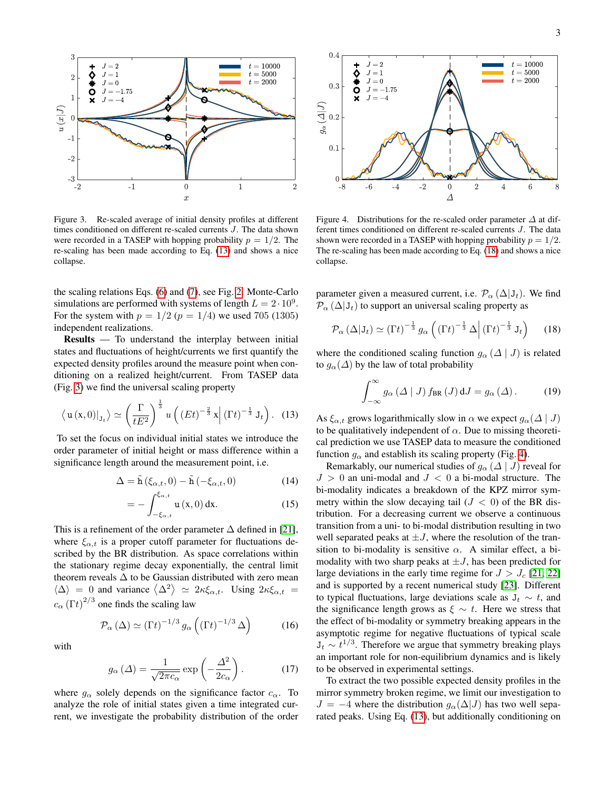

<span id="page-2-1"></span>Figure 3. Re-scaled average of initial density profiles at different times conditioned on different re-scaled currents J. The data shown were recorded in a TASEP with hopping probability  $p = 1/2$ . The re-scaling has been made according to Eq. [\(13\)](#page-2-0) and shows a nice collapse.

the scaling relations Eqs. [\(6\)](#page-1-1) and [\(7\)](#page-1-2), see Fig. [2.](#page-1-0) Monte-Carlo simulations are performed with systems of length  $L = 2 \cdot 10^9$ . For the system with  $p = 1/2$  ( $p = 1/4$ ) we used 705 (1305) independent realizations.

Results — To understand the interplay between initial states and fluctuations of height/currents we first quantify the expected density profiles around the measure point when conditioning on a realized height/current. From TASEP data (Fig. [3\)](#page-2-1) we find the universal scaling property

$$
\langle \mathbf{u}(\mathbf{x},0)|_{\mathbf{J}_t} \rangle \simeq \left(\frac{\Gamma}{tE^2}\right)^{\frac{1}{3}} u\left(\left(Et\right)^{-\frac{2}{3}} \mathbf{x} \middle| \left(\Gamma t\right)^{-\frac{1}{3}} \mathbf{J}_t\right). (13)
$$

To set the focus on individual initial states we introduce the order parameter of initial height or mass difference within a significance length around the measurement point, i.e.

$$
\Delta = \tilde{\mathbf{h}}\left(\xi_{\alpha,t}, 0\right) - \tilde{\mathbf{h}}\left(-\xi_{\alpha,t}, 0\right) \tag{14}
$$

$$
=-\int_{-\xi_{\alpha,t}}^{\xi_{\alpha,t}} \mathbf{u}\left(\mathbf{x},0\right) \mathrm{d}\mathbf{x}.\tag{15}
$$

This is a refinement of the order parameter  $\Delta$  defined in [\[21\]](#page-3-16), where  $\xi_{\alpha,t}$  is a proper cutoff parameter for fluctuations described by the BR distribution. As space correlations within the stationary regime decay exponentially, the central limit theorem reveals  $\Delta$  to be Gaussian distributed with zero mean  $\langle \Delta \rangle = 0$  and variance  $\langle \Delta^2 \rangle \simeq 2\kappa \xi_{\alpha,t}$ . Using  $2\kappa \xi_{\alpha,t} =$  $c_{\alpha}(\Gamma t)^{2/3}$  one finds the scaling law

$$
\mathcal{P}_{\alpha}(\Delta) \simeq \left(\Gamma t\right)^{-1/3} g_{\alpha}\left(\left(\Gamma t\right)^{-1/3} \Delta\right) \tag{16}
$$

with

$$
g_{\alpha}(\Delta) = \frac{1}{\sqrt{2\pi c_{\alpha}}} \exp\left(-\frac{\Delta^2}{2c_{\alpha}}\right). \tag{17}
$$

where  $g_{\alpha}$  solely depends on the significance factor  $c_{\alpha}$ . To analyze the role of initial states given a time integrated current, we investigate the probability distribution of the order



<span id="page-2-3"></span>Figure 4. Distributions for the re-scaled order parameter  $\Delta$  at different times conditioned on different re-scaled currents J. The data shown were recorded in a TASEP with hopping probability  $p = 1/2$ . The re-scaling has been made according to Eq. [\(18\)](#page-2-2) and shows a nice collapse.

parameter given a measured current, i.e.  $\mathcal{P}_{\alpha}(\Delta|J_t)$ . We find  $\mathcal{P}_{\alpha}(\Delta|J_t)$  to support an universal scaling property as

$$
\mathcal{P}_{\alpha} \left( \Delta | \mathbf{J}_{t} \right) \simeq \left( \Gamma t \right)^{-\frac{1}{3}} g_{\alpha} \left( \left( \Gamma t \right)^{-\frac{1}{3}} \Delta \middle| \left( \Gamma t \right)^{-\frac{1}{3}} \mathbf{J}_{t} \right) \tag{18}
$$

where the conditioned scaling function  $g_{\alpha}$  ( $\Delta | J$ ) is related to  $g_{\alpha}(\Delta)$  by the law of total probability

<span id="page-2-2"></span>
$$
\int_{-\infty}^{\infty} g_{\alpha}(\Delta \mid J) f_{\text{BR}}(J) dJ = g_{\alpha}(\Delta). \tag{19}
$$

<span id="page-2-0"></span>As  $\xi_{\alpha,t}$  grows logarithmically slow in  $\alpha$  we expect  $g_{\alpha}(\Delta | J)$ to be qualitatively independent of  $\alpha$ . Due to missing theoretical prediction we use TASEP data to measure the conditioned function  $g_{\alpha}$  and establish its scaling property (Fig. [4\)](#page-2-3).

Remarkably, our numerical studies of  $g_{\alpha}$  ( $\Delta | J$ ) reveal for  $J > 0$  an uni-modal and  $J < 0$  a bi-modal structure. The bi-modality indicates a breakdown of the KPZ mirror symmetry within the slow decaying tail  $(J < 0)$  of the BR distribution. For a decreasing current we observe a continuous transition from a uni- to bi-modal distribution resulting in two well separated peaks at  $\pm J$ , where the resolution of the transition to bi-modality is sensitive  $\alpha$ . A similar effect, a bimodality with two sharp peaks at  $\pm J$ , has been predicted for large deviations in the early time regime for  $J > J_c$  [\[21,](#page-3-16) [22\]](#page-3-17) and is supported by a recent numerical study [\[23\]](#page-3-18). Different to typical fluctuations, large deviations scale as  $J_t \sim t$ , and the significance length grows as  $\xi \sim t$ . Here we stress that the effect of bi-modality or symmetry breaking appears in the asymptotic regime for negative fluctuations of typical scale  $J_t \sim t^{1/3}$ . Therefore we argue that symmetry breaking plays an important role for non-equilibrium dynamics and is likely to be observed in experimental settings.

To extract the two possible expected density profiles in the mirror symmetry broken regime, we limit our investigation to  $J = -4$  where the distribution  $g_{\alpha}(\Delta|J)$  has two well separated peaks. Using Eq. [\(13\)](#page-2-0), but additionally conditioning on